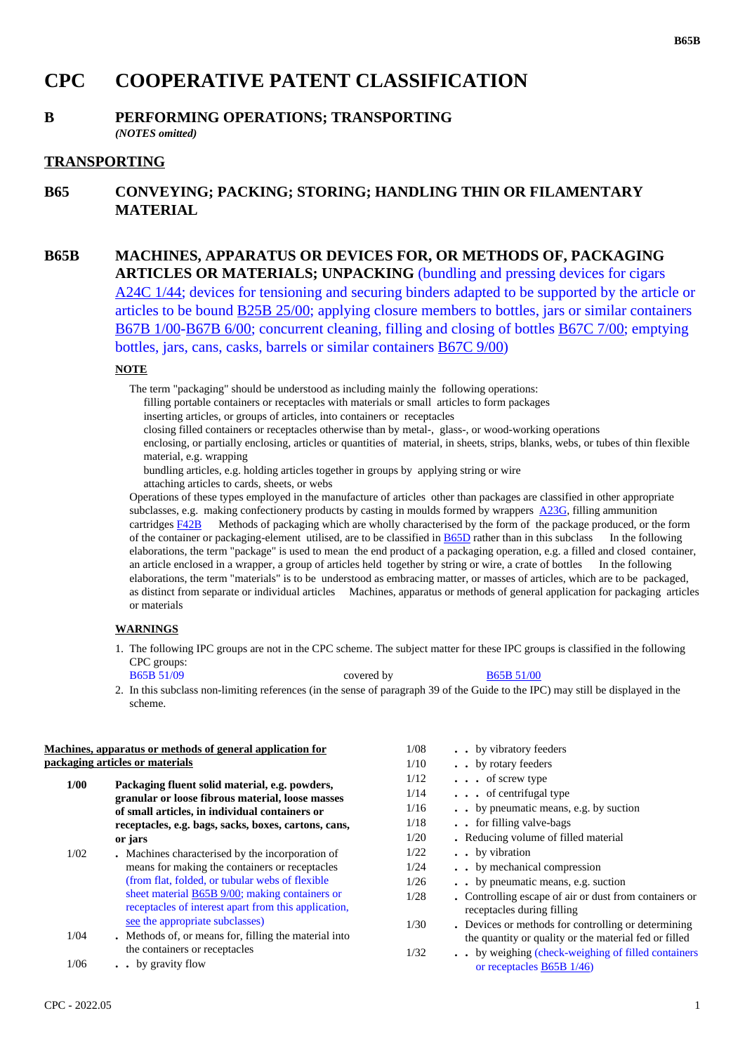# **CPC COOPERATIVE PATENT CLASSIFICATION**

### **B PERFORMING OPERATIONS; TRANSPORTING** *(NOTES omitted)*

## **TRANSPORTING**

**B65 CONVEYING; PACKING; STORING; HANDLING THIN OR FILAMENTARY MATERIAL**

# **B65B MACHINES, APPARATUS OR DEVICES FOR, OR METHODS OF, PACKAGING ARTICLES OR MATERIALS; UNPACKING** (bundling and pressing devices for cigars A24C 1/44; devices for tensioning and securing binders adapted to be supported by the article or articles to be bound B25B 25/00; applying closure members to bottles, jars or similar containers B67B 1/00-B67B 6/00; concurrent cleaning, filling and closing of bottles B67C 7/00; emptying bottles, jars, cans, casks, barrels or similar containers B67C 9/00)

### **NOTE**

The term "packaging" should be understood as including mainly the following operations:

filling portable containers or receptacles with materials or small articles to form packages

inserting articles, or groups of articles, into containers or receptacles

closing filled containers or receptacles otherwise than by metal-, glass-, or wood-working operations

enclosing, or partially enclosing, articles or quantities of material, in sheets, strips, blanks, webs, or tubes of thin flexible material, e.g. wrapping

bundling articles, e.g. holding articles together in groups by applying string or wire

attaching articles to cards, sheets, or webs

Operations of these types employed in the manufacture of articles other than packages are classified in other appropriate subclasses, e.g. making confectionery products by casting in moulds formed by wrappers  $\angle$ A23G, filling ammunition cartridges F42B Methods of packaging which are wholly characterised by the form of the package produced, or the form of the container or packaging-element utilised, are to be classified in B65D rather than in this subclass In the following elaborations, the term "package" is used to mean the end product of a packaging operation, e.g. a filled and closed container, an article enclosed in a wrapper, a group of articles held together by string or wire, a crate of bottles In the following elaborations, the term "materials" is to be understood as embracing matter, or masses of articles, which are to be packaged, as distinct from separate or individual articles Machines, apparatus or methods of general application for packaging articles or materials

### **WARNINGS**

1. The following IPC groups are not in the CPC scheme. The subject matter for these IPC groups is classified in the following CPC groups: B65B 51/09 covered by B65B 51/00

| 2. In this subclass non-limiting references (in the sense of paragraph 39 of the Guide to the IPC) may still be displayed in the |  |
|----------------------------------------------------------------------------------------------------------------------------------|--|
| scheme.                                                                                                                          |  |

| Machines, apparatus or methods of general application for<br>packaging articles or materials |                                                                                                                                                                                                                                                                                                     | 1/08                                 | . . by vibratory feeders                                                                                                                                                                                                            |
|----------------------------------------------------------------------------------------------|-----------------------------------------------------------------------------------------------------------------------------------------------------------------------------------------------------------------------------------------------------------------------------------------------------|--------------------------------------|-------------------------------------------------------------------------------------------------------------------------------------------------------------------------------------------------------------------------------------|
|                                                                                              |                                                                                                                                                                                                                                                                                                     | 1/10                                 | . by rotary feeders                                                                                                                                                                                                                 |
| 1/00                                                                                         | Packaging fluent solid material, e.g. powders,                                                                                                                                                                                                                                                      | 1/12<br>1/14                         | $\cdot \cdot \cdot$ of screw type<br>$\cdots$ of centrifugal type                                                                                                                                                                   |
|                                                                                              | granular or loose fibrous material, loose masses<br>of small articles, in individual containers or                                                                                                                                                                                                  | 1/16                                 | by pneumatic means, e.g. by suction                                                                                                                                                                                                 |
|                                                                                              | receptacles, e.g. bags, sacks, boxes, cartons, cans,<br>or jars                                                                                                                                                                                                                                     | 1/18<br>1/20                         | for filling valve-bags<br>. Reducing volume of filled material                                                                                                                                                                      |
| 1/02                                                                                         | . Machines characterised by the incorporation of<br>means for making the containers or receptacles<br>(from flat, folded, or tubular webs of flexible)<br>sheet material B65B 9/00; making containers or<br>receptacles of interest apart from this application,<br>see the appropriate subclasses) | 1/22<br>1/24<br>1/26<br>1/28<br>1/30 | . by vibration<br>by mechanical compression<br>. . by pneumatic means, e.g. suction<br>• Controlling escape of air or dust from containers or<br>receptacles during filling<br>. Devices or methods for controlling or determining. |
| 1/04<br>1/06                                                                                 | . Methods of, or means for, filling the material into<br>the containers or receptacles<br>. . by gravity flow                                                                                                                                                                                       | 1/32                                 | the quantity or quality or the material fed or filled<br>by weighing (check-weighing of filled containers<br>or receptacles B65B 1/46)                                                                                              |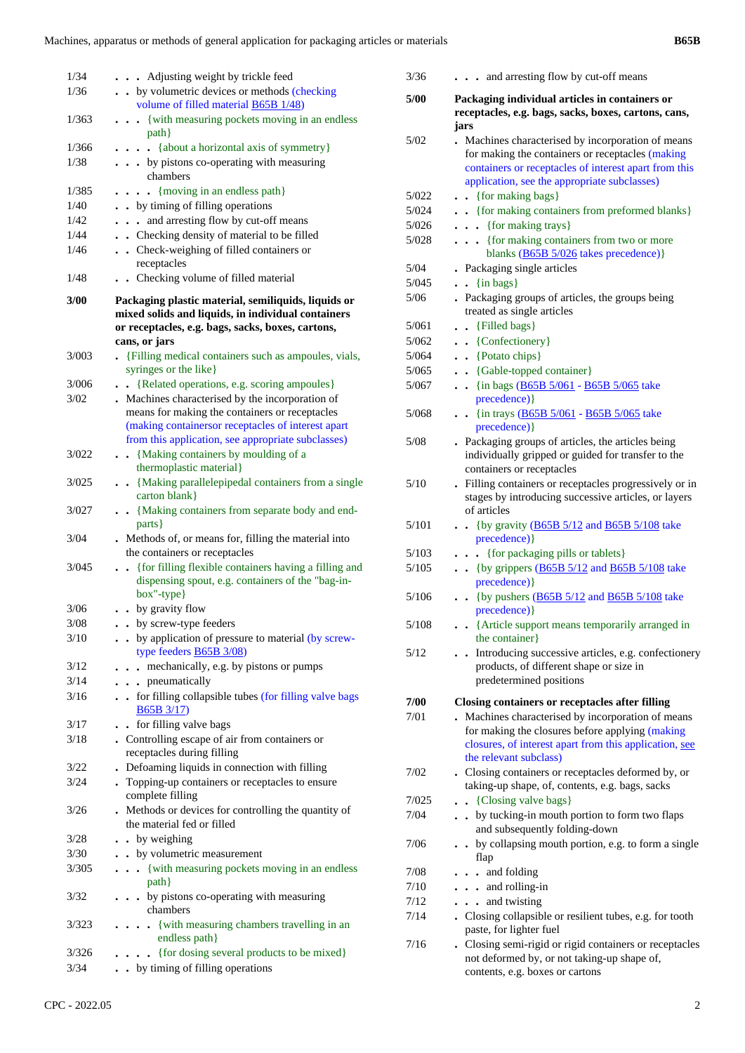| ×<br>ł |  |
|--------|--|
|--------|--|

| 1/34<br>1/36 | . Adjusting weight by trickle feed<br>by volumetric devices or methods (checking                                                                                                |
|--------------|---------------------------------------------------------------------------------------------------------------------------------------------------------------------------------|
|              | volume of filled material <b>B65B</b> 1/48)                                                                                                                                     |
| 1/363        | {with measuring pockets moving in an endless<br>path }                                                                                                                          |
| 1/366        | {about a horizontal axis of symmetry}<br>$\ddot{\phantom{a}}$                                                                                                                   |
| 1/38         | . by pistons co-operating with measuring<br>chambers                                                                                                                            |
| 1/385        | $\ldots$ {moving in an endless path}                                                                                                                                            |
| 1/40         | . . by timing of filling operations                                                                                                                                             |
| 1/42         | . . and arresting flow by cut-off means                                                                                                                                         |
| 1/44         | . . Checking density of material to be filled                                                                                                                                   |
| 1/46         | . . Check-weighing of filled containers or<br>receptacles                                                                                                                       |
| 1/48         | . . Checking volume of filled material                                                                                                                                          |
| 3/00         | Packaging plastic material, semiliquids, liquids or<br>mixed solids and liquids, in individual containers<br>or receptacles, e.g. bags, sacks, boxes, cartons,<br>cans, or jars |
| 3/003        | . {Filling medical containers such as ampoules, vials,<br>syringes or the like}                                                                                                 |
| 3/006        | {Related operations, e.g. scoring ampoules}<br>$\ddotsc$                                                                                                                        |
| 3/02         | . Machines characterised by the incorporation of                                                                                                                                |
|              | means for making the containers or receptacles<br>(making containersor receptacles of interest apart<br>from this application, see appropriate subclasses)                      |
| 3/022        | . . {Making containers by moulding of a<br>thermoplastic material}                                                                                                              |
| 3/025        | . . {Making parallelepipedal containers from a single<br>carton blank}                                                                                                          |
| 3/027        | . . {Making containers from separate body and end-<br>parts }                                                                                                                   |
| 3/04         | . Methods of, or means for, filling the material into<br>the containers or receptacles                                                                                          |
| 3/045        | • {for filling flexible containers having a filling and<br>dispensing spout, e.g. containers of the "bag-in-<br>box"-type}                                                      |
| 3/06         | . . by gravity flow                                                                                                                                                             |
| 3/08         | . by screw-type feeders                                                                                                                                                         |
| 3/10         | by application of pressure to material (by screw-<br>type feeders B65B 3/08)                                                                                                    |
| 3/12         | mechanically, e.g. by pistons or pumps<br>$\ddot{\phantom{0}}$                                                                                                                  |
| 3/14         | . pneumatically                                                                                                                                                                 |
| 3/16         | . . for filling collapsible tubes (for filling valve bags<br><b>B65B 3/17)</b>                                                                                                  |
| 3/17         | for filling valve bags                                                                                                                                                          |
| 3/18         | . Controlling escape of air from containers or<br>receptacles during filling                                                                                                    |
| 3/22         | . Defoaming liquids in connection with filling                                                                                                                                  |
| 3/24         | . Topping-up containers or receptacles to ensure<br>complete filling                                                                                                            |
| 3/26         | . Methods or devices for controlling the quantity of<br>the material fed or filled                                                                                              |
| 3/28         | • by weighing                                                                                                                                                                   |
| 3/30         | . . by volumetric measurement                                                                                                                                                   |
| 3/305        | {with measuring pockets moving in an endless<br>.<br>$path$ }                                                                                                                   |
| 3/32         | • by pistons co-operating with measuring<br>chambers                                                                                                                            |
| 3/323        | {with measuring chambers travelling in an<br>endless path}                                                                                                                      |
| 3/326        | {for dosing several products to be mixed}<br>$\cdot$                                                                                                                            |
| 3/34         | . . by timing of filling operations                                                                                                                                             |

| 3/36  | and arresting flow by cut-off means                                                                                                                                                                             |
|-------|-----------------------------------------------------------------------------------------------------------------------------------------------------------------------------------------------------------------|
| 5/00  | Packaging individual articles in containers or<br>receptacles, e.g. bags, sacks, boxes, cartons, cans,<br>jars                                                                                                  |
| 5/02  | . Machines characterised by incorporation of means<br>for making the containers or receptacles (making<br>containers or receptacles of interest apart from this<br>application, see the appropriate subclasses) |
| 5/022 | $\bullet$ {for making bags}                                                                                                                                                                                     |
| 5/024 | . {for making containers from preformed blanks}                                                                                                                                                                 |
| 5/026 | {for making trays}<br>$\ddot{\phantom{0}}$                                                                                                                                                                      |
| 5/028 | {for making containers from two or more<br>$\ddot{\phantom{0}}$<br>blanks (B65B 5/026 takes precedence)}                                                                                                        |
| 5/04  | . Packaging single articles                                                                                                                                                                                     |
| 5/045 | $\{in \text{ bags}\}$<br>$\ddot{\phantom{0}}$<br>$\ddot{\phantom{0}}$                                                                                                                                           |
| 5/06  | . Packaging groups of articles, the groups being<br>treated as single articles                                                                                                                                  |
| 5/061 | {Filled bags}                                                                                                                                                                                                   |
| 5/062 | • {Confectionery}                                                                                                                                                                                               |
| 5/064 | • {Potato chips}                                                                                                                                                                                                |
| 5/065 | • {Gable-topped container}                                                                                                                                                                                      |
| 5/067 | {in bags (B65B 5/061 - B65B 5/065 take<br>$\ddot{\phantom{a}}$<br>precedence) }                                                                                                                                 |
| 5/068 | $\bullet$ $\bullet$ {in trays (B65B 5/061 - B65B 5/065 take<br>precedence) }                                                                                                                                    |
| 5/08  | . Packaging groups of articles, the articles being<br>individually gripped or guided for transfer to the<br>containers or receptacles                                                                           |
| 5/10  | Filling containers or receptacles progressively or in<br>stages by introducing successive articles, or layers<br>of articles                                                                                    |
| 5/101 | {by gravity $(B65B 5/12$ and B65B 5/108 take<br>precedence) }                                                                                                                                                   |
| 5/103 | {for packaging pills or tablets}<br>$\ddot{\phantom{0}}$                                                                                                                                                        |
| 5/105 | $\bullet$ (by grippers (B65B 5/12 and B65B 5/108 take<br>precedence) }                                                                                                                                          |
| 5/106 | {by pushers (B65B 5/12 and B65B 5/108 take<br>precedence) }                                                                                                                                                     |
| 5/108 | {Article support means temporarily arranged in<br>the container}                                                                                                                                                |
| 5/12  | Introducing successive articles, e.g. confectionery<br>products, of different shape or size in<br>predetermined positions                                                                                       |
| 7/00  | <b>Closing containers or receptacles after filling</b>                                                                                                                                                          |
| 7/01  | Machines characterised by incorporation of means<br>for making the closures before applying (making<br>closures, of interest apart from this application, see<br>the relevant subclass)                         |
| 7/02  | . Closing containers or receptacles deformed by, or<br>taking-up shape, of, contents, e.g. bags, sacks                                                                                                          |
| 7/025 | {Closing valve bags}<br>$\ddot{\phantom{0}}$                                                                                                                                                                    |
| 7/04  | . . by tucking-in mouth portion to form two flaps<br>and subsequently folding-down                                                                                                                              |
| 7/06  | - by collapsing mouth portion, e.g. to form a single<br>flap                                                                                                                                                    |
| 7/08  | . and folding                                                                                                                                                                                                   |
| 7/10  | $\ldots$ and rolling-in                                                                                                                                                                                         |
| 7/12  | . and twisting                                                                                                                                                                                                  |
| 7/14  | . Closing collapsible or resilient tubes, e.g. for tooth<br>paste, for lighter fuel                                                                                                                             |
| 7/16  | . Closing semi-rigid or rigid containers or receptacles<br>not deformed by, or not taking-up shape of,<br>contents, e.g. boxes or cartons                                                                       |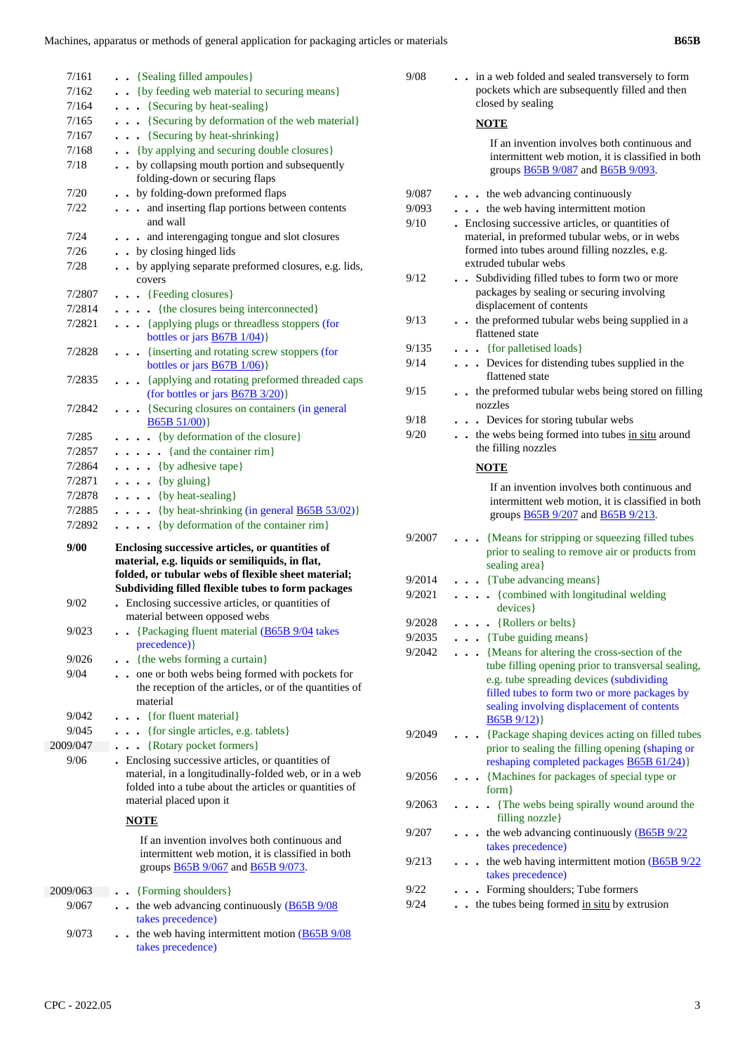| 7/161    | . . {Sealing filled ampoules}                                                                                                                                                                                   |
|----------|-----------------------------------------------------------------------------------------------------------------------------------------------------------------------------------------------------------------|
| 7/162    | {by feeding web material to securing means}                                                                                                                                                                     |
| 7/164    | $\ldots$ {Securing by heat-sealing}                                                                                                                                                                             |
| 7/165    | . {Securing by deformation of the web material}                                                                                                                                                                 |
| 7/167    | . . {Securing by heat-shrinking}                                                                                                                                                                                |
| 7/168    | {by applying and securing double closures}                                                                                                                                                                      |
| 7/18     | . . by collapsing mouth portion and subsequently                                                                                                                                                                |
|          | folding-down or securing flaps                                                                                                                                                                                  |
| 7/20     | . . by folding-down preformed flaps                                                                                                                                                                             |
| 7/22     | and inserting flap portions between contents                                                                                                                                                                    |
|          | and wall                                                                                                                                                                                                        |
| 7/24     | . and interengaging tongue and slot closures                                                                                                                                                                    |
| 7/26     | . . by closing hinged lids                                                                                                                                                                                      |
| 7/28     | by applying separate preformed closures, e.g. lids,<br>covers                                                                                                                                                   |
| 7/2807   | . {Feeding closures}                                                                                                                                                                                            |
| 7/2814   | . {the closures being interconnected}                                                                                                                                                                           |
| 7/2821   | {applying plugs or threadless stoppers (for<br>bottles or jars $\underline{B67B}$ 1/04)}                                                                                                                        |
| 7/2828   | {inserting and rotating screw stoppers (for<br>bottles or jars $\underline{B67B}$ 1/06)}                                                                                                                        |
| 7/2835   | {applying and rotating preformed threaded caps<br>(for bottles or jars $\frac{B67B3/20}{B}$ )                                                                                                                   |
| 7/2842   | {Securing closures on containers (in general<br>B65B 51/00)                                                                                                                                                     |
| 7/285    | {by deformation of the closure}                                                                                                                                                                                 |
| 7/2857   | $\ldots$ (and the container rim)                                                                                                                                                                                |
| 7/2864   | $\ldots$ {by adhesive tape}                                                                                                                                                                                     |
| 7/2871   | $\ldots$ {by gluing}                                                                                                                                                                                            |
| 7/2878   |                                                                                                                                                                                                                 |
|          |                                                                                                                                                                                                                 |
| 7/2885   | $\ldots$ { by heat-sealing }                                                                                                                                                                                    |
| 7/2892   | $\ldots$ {by heat-shrinking (in general B65B 53/02)}<br>$\ldots$ {by deformation of the container rim}                                                                                                          |
| 9/00     | Enclosing successive articles, or quantities of<br>material, e.g. liquids or semiliquids, in flat,<br>folded, or tubular webs of flexible sheet material;<br>Subdividing filled flexible tubes to form packages |
| 9/02     | Enclosing successive articles, or quantities of                                                                                                                                                                 |
|          | material between opposed webs                                                                                                                                                                                   |
| 9/023    | • {Packaging fluent material $(B65B 9/04)$ takes<br>precedence) }                                                                                                                                               |
| 9/026    | {the webs forming a curtain}                                                                                                                                                                                    |
| 9/04     | one or both webs being formed with pockets for<br>the reception of the articles, or of the quantities of<br>material                                                                                            |
| 9/042    | {for fluent material}<br>$\ddot{\phantom{0}}$                                                                                                                                                                   |
| 9/045    | {for single articles, e.g. tablets}                                                                                                                                                                             |
| 2009/047 | {Rotary pocket formers}<br>.                                                                                                                                                                                    |
| 9/06     | . Enclosing successive articles, or quantities of<br>material, in a longitudinally-folded web, or in a web<br>folded into a tube about the articles or quantities of<br>material placed upon it                 |
|          | <b>NOTE</b>                                                                                                                                                                                                     |
|          | If an invention involves both continuous and<br>intermittent web motion, it is classified in both<br>groups <b>B65B</b> 9/067 and <b>B65B</b> 9/073.                                                            |
| 2009/063 | {Forming shoulders}                                                                                                                                                                                             |
| 9/067    | the web advancing continuously (B65B 9/08<br>takes precedence)                                                                                                                                                  |

 9/073 **. .** the web having intermittent motion (B65B 9/08 takes precedence)

| 9/08   | . in a web folded and sealed transversely to form<br>pockets which are subsequently filled and then<br>closed by sealing                                                                                                                                  |
|--------|-----------------------------------------------------------------------------------------------------------------------------------------------------------------------------------------------------------------------------------------------------------|
|        | <b>NOTE</b>                                                                                                                                                                                                                                               |
|        | If an invention involves both continuous and<br>intermittent web motion, it is classified in both<br>groups <b>B65B</b> 9/087 and <b>B65B</b> 9/093.                                                                                                      |
| 9/087  | . the web advancing continuously                                                                                                                                                                                                                          |
| 9/093  | . the web having intermittent motion                                                                                                                                                                                                                      |
| 9/10   | . Enclosing successive articles, or quantities of<br>material, in preformed tubular webs, or in webs<br>formed into tubes around filling nozzles, e.g.<br>extruded tubular webs                                                                           |
| 9/12   | Subdividing filled tubes to form two or more<br>$\ddot{\phantom{a}}$<br>packages by sealing or securing involving<br>displacement of contents                                                                                                             |
| 9/13   | the preformed tubular webs being supplied in a<br>flattened state                                                                                                                                                                                         |
| 9/135  | $\bullet$ {for palletised loads}                                                                                                                                                                                                                          |
| 9/14   | Devices for distending tubes supplied in the<br>flattened state                                                                                                                                                                                           |
| 9/15   | . the preformed tubular webs being stored on filling<br>nozzles                                                                                                                                                                                           |
| 9/18   | . Devices for storing tubular webs                                                                                                                                                                                                                        |
| 9/20   | . . the webs being formed into tubes in situ around<br>the filling nozzles                                                                                                                                                                                |
|        | <b>NOTE</b>                                                                                                                                                                                                                                               |
|        | If an invention involves both continuous and<br>intermittent web motion, it is classified in both<br>groups <b>B65B</b> 9/207 and <b>B65B</b> 9/213.                                                                                                      |
| 9/2007 | {Means for stripping or squeezing filled tubes<br>prior to sealing to remove air or products from<br>sealing area}                                                                                                                                        |
| 9/2014 | . Tube advancing means}                                                                                                                                                                                                                                   |
| 9/2021 | • {combined with longitudinal welding<br>$\ddot{\phantom{0}}$<br>devices }                                                                                                                                                                                |
| 9/2028 | $\ldots$ {Rollers or belts}                                                                                                                                                                                                                               |
| 9/2035 | {Tube guiding means}                                                                                                                                                                                                                                      |
| 9/2042 | {Means for altering the cross-section of the<br>tube filling opening prior to transversal sealing,<br>e.g. tube spreading devices (subdividing<br>filled tubes to form two or more packages by<br>sealing involving displacement of contents<br>B65B9/12) |
| 9/2049 | {Package shaping devices acting on filled tubes<br>prior to sealing the filling opening (shaping or<br>reshaping completed packages <b>B65B 61/24</b> )}                                                                                                  |
| 9/2056 | {Machines for packages of special type or<br>$form$ }                                                                                                                                                                                                     |
| 9/2063 | . {The webs being spirally wound around the<br>filling nozzle}                                                                                                                                                                                            |
| 9/207  | the web advancing continuously (B65B 9/22<br>takes precedence)                                                                                                                                                                                            |
| 9/213  | the web having intermittent motion $(B65B9/22)$<br>takes precedence)                                                                                                                                                                                      |
| 9/22   | Forming shoulders; Tube formers                                                                                                                                                                                                                           |
| 9/24   | the tubes being formed in situ by extrusion                                                                                                                                                                                                               |
|        |                                                                                                                                                                                                                                                           |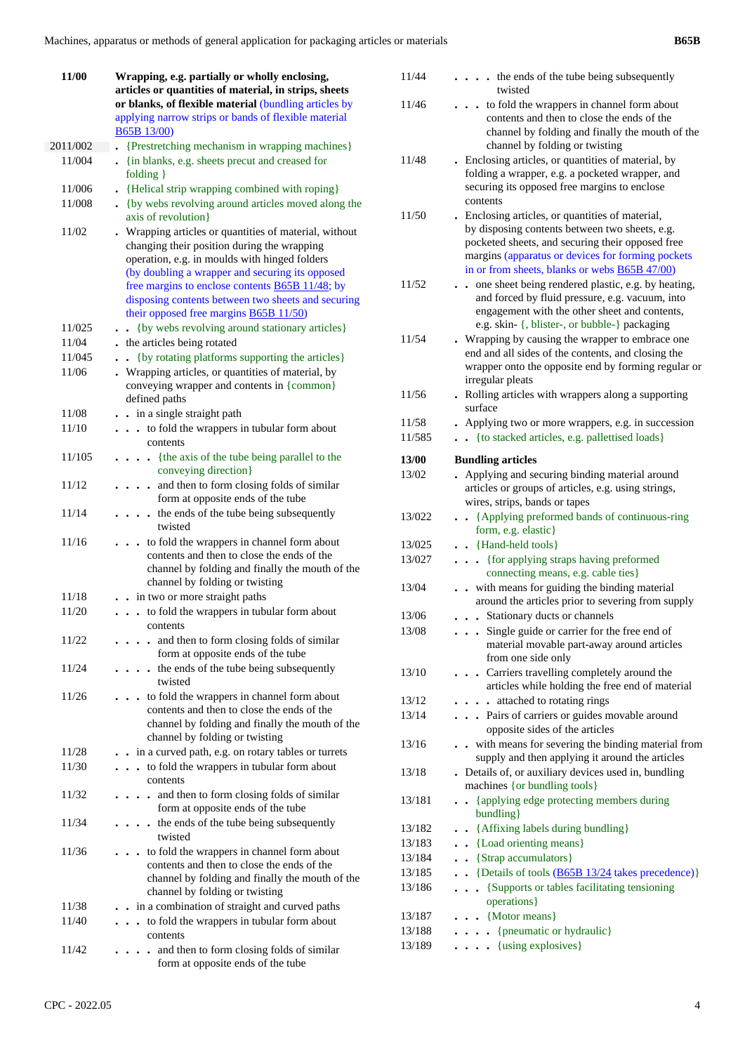| 11/00    | Wrapping, e.g. partially or wholly enclosing,                                                                                                                                                                                                                                                                                                                                |  |  |
|----------|------------------------------------------------------------------------------------------------------------------------------------------------------------------------------------------------------------------------------------------------------------------------------------------------------------------------------------------------------------------------------|--|--|
|          | articles or quantities of material, in strips, sheets                                                                                                                                                                                                                                                                                                                        |  |  |
|          | or blanks, of flexible material (bundling articles by                                                                                                                                                                                                                                                                                                                        |  |  |
|          | applying narrow strips or bands of flexible material                                                                                                                                                                                                                                                                                                                         |  |  |
|          | <b>B65B 13/00</b> )                                                                                                                                                                                                                                                                                                                                                          |  |  |
| 2011/002 | {Prestretching mechanism in wrapping machines}                                                                                                                                                                                                                                                                                                                               |  |  |
| 11/004   | {in blanks, e.g. sheets precut and creased for<br>$folding$ }                                                                                                                                                                                                                                                                                                                |  |  |
| 11/006   | . {Helical strip wrapping combined with roping}                                                                                                                                                                                                                                                                                                                              |  |  |
| 11/008   | . {by webs revolving around articles moved along the<br>axis of revolution}                                                                                                                                                                                                                                                                                                  |  |  |
| 11/02    | . Wrapping articles or quantities of material, without<br>changing their position during the wrapping<br>operation, e.g. in moulds with hinged folders<br>(by doubling a wrapper and securing its opposed<br>free margins to enclose contents <b>B65B 11/48</b> ; by<br>disposing contents between two sheets and securing<br>their opposed free margins <b>B65B 11/50</b> ) |  |  |
| 11/025   | {by webs revolving around stationary articles}                                                                                                                                                                                                                                                                                                                               |  |  |
| 11/04    | . the articles being rotated                                                                                                                                                                                                                                                                                                                                                 |  |  |
| 11/045   | {by rotating platforms supporting the articles}                                                                                                                                                                                                                                                                                                                              |  |  |
| 11/06    | . Wrapping articles, or quantities of material, by<br>conveying wrapper and contents in {common}<br>defined paths                                                                                                                                                                                                                                                            |  |  |
| 11/08    | . . in a single straight path                                                                                                                                                                                                                                                                                                                                                |  |  |
| 11/10    | to fold the wrappers in tubular form about<br>$\cdots$<br>contents                                                                                                                                                                                                                                                                                                           |  |  |
| 11/105   | {the axis of the tube being parallel to the<br>$\ddot{\phantom{0}}$<br>conveying direction}                                                                                                                                                                                                                                                                                  |  |  |
| 11/12    | and then to form closing folds of similar<br>form at opposite ends of the tube                                                                                                                                                                                                                                                                                               |  |  |
| 11/14    | the ends of the tube being subsequently<br>twisted                                                                                                                                                                                                                                                                                                                           |  |  |
| 11/16    | to fold the wrappers in channel form about<br>contents and then to close the ends of the<br>channel by folding and finally the mouth of the<br>channel by folding or twisting                                                                                                                                                                                                |  |  |
| 11/18    | . . in two or more straight paths                                                                                                                                                                                                                                                                                                                                            |  |  |
| 11/20    | to fold the wrappers in tubular form about<br>contents                                                                                                                                                                                                                                                                                                                       |  |  |
| 11/22    | and then to form closing folds of similar<br>form at opposite ends of the tube                                                                                                                                                                                                                                                                                               |  |  |
| 11/24    | the ends of the tube being subsequently<br>$\ddot{\phantom{a}}$<br>twisted                                                                                                                                                                                                                                                                                                   |  |  |
| 11/26    | to fold the wrappers in channel form about<br>contents and then to close the ends of the<br>channel by folding and finally the mouth of the<br>channel by folding or twisting                                                                                                                                                                                                |  |  |
| 11/28    | in a curved path, e.g. on rotary tables or turrets                                                                                                                                                                                                                                                                                                                           |  |  |
| 11/30    | to fold the wrappers in tubular form about<br>contents                                                                                                                                                                                                                                                                                                                       |  |  |
| 11/32    | and then to form closing folds of similar<br>form at opposite ends of the tube                                                                                                                                                                                                                                                                                               |  |  |
| 11/34    | the ends of the tube being subsequently<br>$\ddot{\phantom{a}}$<br>twisted                                                                                                                                                                                                                                                                                                   |  |  |
| 11/36    | to fold the wrappers in channel form about<br>contents and then to close the ends of the<br>channel by folding and finally the mouth of the<br>channel by folding or twisting                                                                                                                                                                                                |  |  |
| 11/38    | in a combination of straight and curved paths                                                                                                                                                                                                                                                                                                                                |  |  |
| 11/40    | to fold the wrappers in tubular form about<br>.<br>contents                                                                                                                                                                                                                                                                                                                  |  |  |
| 11/42    | and then to form closing folds of similar<br>form at opposite ends of the tube                                                                                                                                                                                                                                                                                               |  |  |

| CPC - 2022.05 |  |  |
|---------------|--|--|

| 11/44          | the ends of the tube being subsequently<br>twisted                                                         |
|----------------|------------------------------------------------------------------------------------------------------------|
| 11/46          | to fold the wrappers in channel form about                                                                 |
|                | contents and then to close the ends of the                                                                 |
|                | channel by folding and finally the mouth of the                                                            |
|                | channel by folding or twisting                                                                             |
| 11/48          | . Enclosing articles, or quantities of material, by                                                        |
|                | folding a wrapper, e.g. a pocketed wrapper, and                                                            |
|                | securing its opposed free margins to enclose                                                               |
|                | contents                                                                                                   |
| 11/50          | Enclosing articles, or quantities of material,                                                             |
|                | by disposing contents between two sheets, e.g.<br>pocketed sheets, and securing their opposed free         |
|                | margins (apparatus or devices for forming pockets                                                          |
|                | in or from sheets, blanks or webs <b>B65B 47/00</b> )                                                      |
| 11/52          | . one sheet being rendered plastic, e.g. by heating,                                                       |
|                | and forced by fluid pressure, e.g. vacuum, into                                                            |
|                | engagement with the other sheet and contents,                                                              |
|                | e.g. skin- {, blister-, or bubble-} packaging                                                              |
| 11/54          | . Wrapping by causing the wrapper to embrace one                                                           |
|                | end and all sides of the contents, and closing the                                                         |
|                | wrapper onto the opposite end by forming regular or<br>irregular pleats                                    |
| 11/56          | . Rolling articles with wrappers along a supporting                                                        |
|                | surface                                                                                                    |
| 11/58          | Applying two or more wrappers, e.g. in succession                                                          |
| 11/585         | {to stacked articles, e.g. pallettised loads}<br>$\ddot{\phantom{0}}$                                      |
|                |                                                                                                            |
| 13/00<br>13/02 | <b>Bundling articles</b><br>Applying and securing binding material around                                  |
|                | articles or groups of articles, e.g. using strings,                                                        |
|                | wires, strips, bands or tapes                                                                              |
| 13/022         | • {Applying preformed bands of continuous-ring                                                             |
|                | form, e.g. elastic}                                                                                        |
| 13/025         | $\bullet$ $\bullet$ {Hand-held tools}                                                                      |
| 13/027         | . {for applying straps having preformed                                                                    |
|                | connecting means, e.g. cable ties}                                                                         |
| 13/04          | with means for guiding the binding material<br>$\ddot{\phantom{a}}$                                        |
| 13/06          | around the articles prior to severing from supply<br>. Stationary ducts or channels                        |
| 13/08          | Single guide or carrier for the free end of                                                                |
|                | material movable part-away around articles                                                                 |
|                | from one side only                                                                                         |
| 13/10          | . Carriers travelling completely around the                                                                |
|                | articles while holding the free end of material                                                            |
| 13/12          | attached to rotating rings<br>$\ddot{\phantom{0}}$                                                         |
| 13/14          | . Pairs of carriers or guides movable around                                                               |
|                | opposite sides of the articles                                                                             |
| 13/16          | with means for severing the binding material from                                                          |
| 13/18          | supply and then applying it around the articles<br>. Details of, or auxiliary devices used in, bundling    |
|                | machines {or bundling tools}                                                                               |
| 13/181         | {applying edge protecting members during                                                                   |
|                | bundling }                                                                                                 |
| 13/182         | {Affixing labels during bundling}                                                                          |
| 13/183         | {Load orienting means}<br>$\ddot{\phantom{0}}$                                                             |
| 13/184         | {Strap accumulators}<br>$\ddot{\phantom{0}}$                                                               |
| 13/185         | {Details of tools (B65B 13/24 takes precedence)}<br>$\ddot{\phantom{0}}$                                   |
| 13/186         | {Supports or tables facilitating tensioning<br>$\ddot{\phantom{a}}$<br>$\ddot{\phantom{0}}$                |
|                | operations }                                                                                               |
| 13/187         | $\bullet$ $\bullet$ {Motor means}                                                                          |
| 13/188         |                                                                                                            |
| 13/189         | {pneumatic or hydraulic}<br>$\bullet$<br>$\bullet$ $\bullet$<br>{using explosives}<br>$\ddot{\phantom{0}}$ |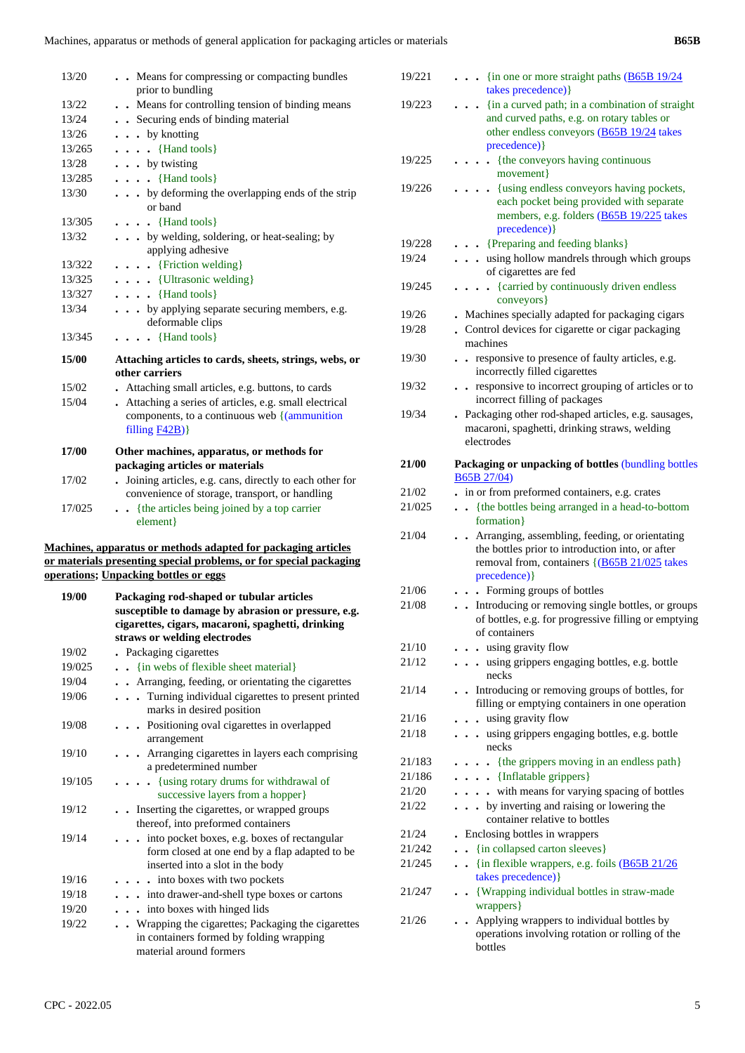| 13/20  | Means for compressing or compacting bundles                                                                               |
|--------|---------------------------------------------------------------------------------------------------------------------------|
|        | prior to bundling                                                                                                         |
| 13/22  | Means for controlling tension of binding means                                                                            |
| 13/24  | . . Securing ends of binding material                                                                                     |
| 13/26  | $\ldots$ by knotting                                                                                                      |
| 13/265 | $\ldots$ (Hand tools)                                                                                                     |
| 13/28  | $\ldots$ by twisting                                                                                                      |
| 13/285 | $\ldots$ $\{Hand tools\}$                                                                                                 |
| 13/30  | . by deforming the overlapping ends of the strip<br>or band                                                               |
| 13/305 | $\ldots$ $\{$ Hand tools $\}$                                                                                             |
| 13/32  | by welding, soldering, or heat-sealing; by<br>applying adhesive                                                           |
| 13/322 | $\ldots$ [Friction welding]                                                                                               |
| 13/325 | $\cdots$ (Ultrasonic welding)                                                                                             |
| 13/327 | $\ldots$ $\{Hand tools\}$                                                                                                 |
| 13/34  | by applying separate securing members, e.g.<br>deformable clips                                                           |
| 13/345 | $\ldots$ $\{Hand tools\}$                                                                                                 |
| 15/00  | Attaching articles to cards, sheets, strings, webs, or<br>other carriers                                                  |
| 15/02  | Attaching small articles, e.g. buttons, to cards                                                                          |
| 15/04  | Attaching a series of articles, e.g. small electrical<br>components, to a continuous web $\frac{1}{2}$<br>filling $F42B)$ |
| 17/00  | Other machines, apparatus, or methods for                                                                                 |
|        | packaging articles or materials                                                                                           |
| 17/02  | . Joining articles, e.g. cans, directly to each other for<br>convenience of storage, transport, or handling               |
| 17/025 | {the articles being joined by a top carrier<br>element }                                                                  |
|        |                                                                                                                           |

#### **Machines, apparatus or methods adapted for packaging articles or materials presenting special problems, or for special packaging operations; Unpacking bottles or eggs**

| 19/00  | Packaging rod-shaped or tubular articles<br>susceptible to damage by abrasion or pressure, e.g.<br>cigarettes, cigars, macaroni, spaghetti, drinking<br>straws or welding electrodes |
|--------|--------------------------------------------------------------------------------------------------------------------------------------------------------------------------------------|
| 19/02  | • Packaging cigarettes                                                                                                                                                               |
| 19/025 | {in webs of flexible sheet material}                                                                                                                                                 |
| 19/04  | Arranging, feeding, or orientating the cigarettes                                                                                                                                    |
| 19/06  | Turning individual cigarettes to present printed<br>marks in desired position                                                                                                        |
| 19/08  | Positioning oval cigarettes in overlapped<br>arrangement                                                                                                                             |
| 19/10  | Arranging cigarettes in layers each comprising<br>a predetermined number                                                                                                             |
| 19/105 | $\cdots$ (using rotary drums for withdrawal of<br>successive layers from a hopper}                                                                                                   |
| 19/12  | Inserting the cigarettes, or wrapped groups<br>thereof, into preformed containers                                                                                                    |
| 19/14  | $\ldots$ into pocket boxes, e.g. boxes of rectangular<br>form closed at one end by a flap adapted to be<br>inserted into a slot in the body                                          |
| 19/16  | $\cdots$ into boxes with two pockets                                                                                                                                                 |
| 19/18  | into drawer-and-shell type boxes or cartons                                                                                                                                          |
| 19/20  | . into boxes with hinged lids                                                                                                                                                        |
| 19/22  | Wrapping the cigarettes; Packaging the cigarettes<br>in containers formed by folding wrapping<br>material around formers                                                             |

| 19/221 | $\cdot$ {in one or more straight paths ( $\underline{B65B}$ 19/24<br>takes precedence) }                                                                               |
|--------|------------------------------------------------------------------------------------------------------------------------------------------------------------------------|
| 19/223 | - {in a curved path; in a combination of straight<br>and curved paths, e.g. on rotary tables or<br>other endless conveyors (B65B 19/24 takes                           |
| 19/225 | precedence) }<br>{the conveyors having continuous                                                                                                                      |
| 19/226 | movement }<br>{using endless conveyors having pockets,<br>each pocket being provided with separate<br>members, e.g. folders (B65B 19/225 takes<br>precedence) }        |
| 19/228 | {Preparing and feeding blanks}                                                                                                                                         |
| 19/24  | . using hollow mandrels through which groups<br>of cigarettes are fed                                                                                                  |
| 19/245 | {carried by continuously driven endless<br>conveyors }                                                                                                                 |
| 19/26  | . Machines specially adapted for packaging cigars                                                                                                                      |
| 19/28  | . Control devices for cigarette or cigar packaging<br>machines                                                                                                         |
| 19/30  | . responsive to presence of faulty articles, e.g.<br>incorrectly filled cigarettes                                                                                     |
| 19/32  | responsive to incorrect grouping of articles or to<br>$\ddotsc$<br>incorrect filling of packages                                                                       |
| 19/34  | . Packaging other rod-shaped articles, e.g. sausages,<br>macaroni, spaghetti, drinking straws, welding<br>electrodes                                                   |
| 21/00  | Packaging or unpacking of bottles (bundling bottles<br>B65B 27/04)                                                                                                     |
| 21/02  | . in or from preformed containers, e.g. crates                                                                                                                         |
| 21/025 | {the bottles being arranged in a head-to-bottom<br>$\ddot{\phantom{0}}$<br>formation}                                                                                  |
| 21/04  | . Arranging, assembling, feeding, or orientating<br>the bottles prior to introduction into, or after<br>removal from, containers {(B65B 21/025 takes)<br>precedence) } |
| 21/06  | • Forming groups of bottles                                                                                                                                            |
| 21/08  | Introducing or removing single bottles, or groups<br>of bottles, e.g. for progressive filling or emptying<br>of containers                                             |
| 21/10  | using gravity flow                                                                                                                                                     |
| 21/12  | using grippers engaging bottles, e.g. bottle<br>necks                                                                                                                  |
| 21/14  | Introducing or removing groups of bottles, for<br>filling or emptying containers in one operation                                                                      |
| 21/16  | . . using gravity flow                                                                                                                                                 |
| 21/18  | . using grippers engaging bottles, e.g. bottle<br>necks                                                                                                                |
| 21/183 | - {the grippers moving in an endless path}<br>$\bullet$                                                                                                                |
| 21/186 | {Inflatable grippers}                                                                                                                                                  |
| 21/20  | with means for varying spacing of bottles<br>$\ddot{\phantom{0}}$                                                                                                      |
| 21/22  | . by inverting and raising or lowering the<br>container relative to bottles                                                                                            |
| 21/24  | Enclosing bottles in wrappers                                                                                                                                          |
| 21/242 | {in collapsed carton sleeves}                                                                                                                                          |
| 21/245 | {in flexible wrappers, e.g. foils (B65B 21/26)<br>$\ddot{\phantom{a}}$<br>takes precedence) }                                                                          |
| 21/247 | • {Wrapping individual bottles in straw-made<br>wrappers }                                                                                                             |
| 21/26  | Applying wrappers to individual bottles by<br>operations involving rotation or rolling of the<br>bottles                                                               |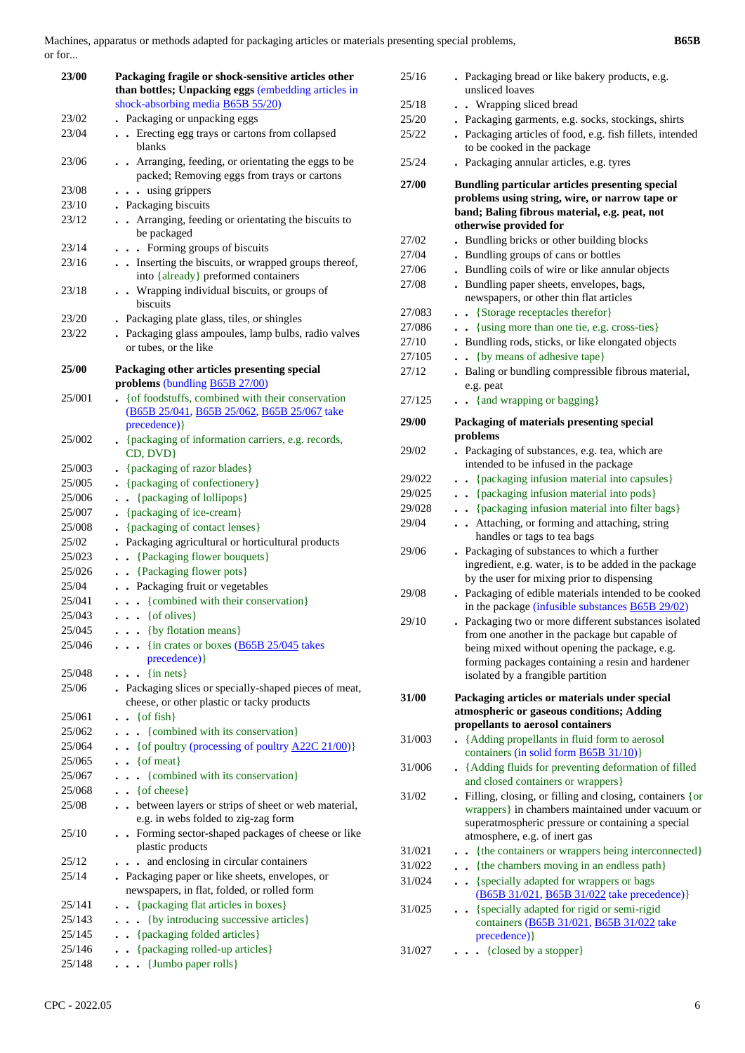Machines, apparatus or methods adapted for packaging articles or materials presenting special problems, or for...

| 23/00            | Packaging fragile or shock-sensitive articles other<br>than bottles; Unpacking eggs (embedding articles in<br>shock-absorbing media B65B 55/20) |
|------------------|-------------------------------------------------------------------------------------------------------------------------------------------------|
| 23/02            | . Packaging or unpacking eggs                                                                                                                   |
| 23/04            | Erecting egg trays or cartons from collapsed<br>$\ddot{\phantom{a}}$<br>blanks                                                                  |
| 23/06            | Arranging, feeding, or orientating the eggs to be<br>$\ddot{\phantom{0}}$<br>packed; Removing eggs from trays or cartons                        |
| 23/08            | using grippers<br>$\ddot{\phantom{a}}$                                                                                                          |
| 23/10            | . Packaging biscuits                                                                                                                            |
| 23/12            | Arranging, feeding or orientating the biscuits to<br>be packaged                                                                                |
| 23/14            | . Forming groups of biscuits                                                                                                                    |
| 23/16            | Inserting the biscuits, or wrapped groups thereof,<br>into {already} preformed containers                                                       |
| 23/18            | . . Wrapping individual biscuits, or groups of<br>biscuits                                                                                      |
| 23/20            | . Packaging plate glass, tiles, or shingles                                                                                                     |
| 23/22            | . Packaging glass ampoules, lamp bulbs, radio valves<br>or tubes, or the like                                                                   |
| 25/00            | Packaging other articles presenting special<br>problems (bundling B65B 27/00)                                                                   |
| 25/001           | . { of foodstuffs, combined with their conservation<br>(B65B 25/041, B65B 25/062, B65B 25/067 take<br>precedence) }                             |
| 25/002           | • {packaging of information carriers, e.g. records,<br>CD, DVD}                                                                                 |
| 25/003           | • {packaging of razor blades}                                                                                                                   |
| 25/005           | • {packaging of confectionery}                                                                                                                  |
| 25/006           | {packaging of lollipops}<br>$\bullet$                                                                                                           |
| 25/007           | • {packaging of ice-cream}                                                                                                                      |
| 25/008           | {packaging of contact lenses}                                                                                                                   |
| 25/02            | Packaging agricultural or horticultural products                                                                                                |
| 25/023           | . . {Packaging flower bouquets}                                                                                                                 |
| 25/026           | . . {Packaging flower pots}                                                                                                                     |
| 25/04            | . . Packaging fruit or vegetables                                                                                                               |
| 25/041           | . . {combined with their conservation}                                                                                                          |
| 25/043           | $\ldots$ { of olives}                                                                                                                           |
| 25/045           | . {by flotation means}                                                                                                                          |
| 25/046           | {in crates or boxes $(B65B 25/045)$ takes<br>.<br>precedence) }                                                                                 |
| 25/048           | $\frac{1}{2}$ {in nets}                                                                                                                         |
| 25/06            | . Packaging slices or specially-shaped pieces of meat,<br>cheese, or other plastic or tacky products                                            |
| 25/061<br>25/062 | {of fish}<br>$\ddot{\phantom{0}}$<br>{combined with its conservation}<br>$\ddot{\phantom{a}}$                                                   |
| 25/064           | $\bullet$<br>• { of poultry (processing of poultry $A22C 21/00$ )}                                                                              |
| 25/065           | $\bullet \bullet$ { of meat }                                                                                                                   |
| 25/067           | {combined with its conservation}<br>$\ddot{\phantom{0}}$<br>. .                                                                                 |
| 25/068           | $\bullet$ { of cheese }                                                                                                                         |
| 25/08            | between layers or strips of sheet or web material,<br>e.g. in webs folded to zig-zag form                                                       |
| 25/10            | Forming sector-shaped packages of cheese or like<br>plastic products                                                                            |
| 25/12            | and enclosing in circular containers<br>$\ddot{\phantom{a}}$                                                                                    |
| 25/14            | . Packaging paper or like sheets, envelopes, or<br>newspapers, in flat, folded, or rolled form                                                  |
| 25/141           | {packaging flat articles in boxes}<br>$\ddot{\phantom{0}}$                                                                                      |
| 25/143           | {by introducing successive articles}<br>$\ddot{\phantom{0}}$<br>$\ddot{\phantom{0}}$                                                            |
| 25/145           | {packaging folded articles}<br>$\ddot{\phantom{0}}$                                                                                             |
| 25/146           | {packaging rolled-up articles}<br>$\ddot{\phantom{a}}$                                                                                          |
| 25/148           | $\ldots$ {Jumbo paper rolls}                                                                                                                    |

| 25/16  | . Packaging bread or like bakery products, e.g.<br>unsliced loaves                                            |
|--------|---------------------------------------------------------------------------------------------------------------|
| 25/18  | . Wrapping sliced bread                                                                                       |
| 25/20  | . Packaging garments, e.g. socks, stockings, shirts                                                           |
| 25/22  | . Packaging articles of food, e.g. fish fillets, intended                                                     |
|        | to be cooked in the package                                                                                   |
| 25/24  | Packaging annular articles, e.g. tyres                                                                        |
| 27/00  | Bundling particular articles presenting special                                                               |
|        | problems using string, wire, or narrow tape or                                                                |
|        | band; Baling fibrous material, e.g. peat, not                                                                 |
|        | otherwise provided for                                                                                        |
| 27/02  | Bundling bricks or other building blocks                                                                      |
| 27/04  | . Bundling groups of cans or bottles                                                                          |
| 27/06  | . Bundling coils of wire or like annular objects                                                              |
| 27/08  | . Bundling paper sheets, envelopes, bags,                                                                     |
|        | newspapers, or other thin flat articles                                                                       |
| 27/083 | {Storage receptacles therefor}<br>$\ddot{\phantom{0}}$                                                        |
| 27/086 | {using more than one tie, e.g. cross-ties}                                                                    |
| 27/10  | Bundling rods, sticks, or like elongated objects                                                              |
| 27/105 | {by means of adhesive tape}<br>$\ddot{\phantom{a}}$                                                           |
| 27/12  | Baling or bundling compressible fibrous material,                                                             |
|        | e.g. peat                                                                                                     |
| 27/125 | {and wrapping or bagging}                                                                                     |
|        |                                                                                                               |
| 29/00  | Packaging of materials presenting special                                                                     |
|        | problems                                                                                                      |
| 29/02  | Packaging of substances, e.g. tea, which are<br>$\ddot{\phantom{0}}$<br>intended to be infused in the package |
| 29/022 | {packaging infusion material into capsules}                                                                   |
| 29/025 | $\ddot{\phantom{0}}$<br>{packaging infusion material into pods}                                               |
| 29/028 | $\ddot{\phantom{0}}$<br>• {packaging infusion material into filter bags}                                      |
|        | Attaching, or forming and attaching, string                                                                   |
| 29/04  | handles or tags to tea bags                                                                                   |
| 29/06  | . Packaging of substances to which a further                                                                  |
|        | ingredient, e.g. water, is to be added in the package                                                         |
|        | by the user for mixing prior to dispensing                                                                    |
| 29/08  | . Packaging of edible materials intended to be cooked                                                         |
|        | in the package (infusible substances B65B 29/02)                                                              |
| 29/10  | Packaging two or more different substances isolated                                                           |
|        | from one another in the package but capable of                                                                |
|        | being mixed without opening the package, e.g.                                                                 |
|        | forming packages containing a resin and hardener                                                              |
|        | isolated by a frangible partition                                                                             |
| 31/00  | Packaging articles or materials under special                                                                 |
|        | atmospheric or gaseous conditions; Adding                                                                     |
|        | propellants to aerosol containers                                                                             |
| 31/003 | {Adding propellants in fluid form to aerosol                                                                  |
|        | containers (in solid form <b>B65B 31/10</b> )}                                                                |
| 31/006 | . {Adding fluids for preventing deformation of filled                                                         |
|        | and closed containers or wrappers}                                                                            |
| 31/02  | Filling, closing, or filling and closing, containers {or                                                      |
|        | wrappers} in chambers maintained under vacuum or                                                              |
|        | superatmospheric pressure or containing a special                                                             |
|        | atmosphere, e.g. of inert gas                                                                                 |
| 31/021 | - {the containers or wrappers being interconnected}                                                           |
| 31/022 | {the chambers moving in an endless path}                                                                      |
| 31/024 | . . {specially adapted for wrappers or bags                                                                   |
|        | (B65B 31/021, B65B 31/022 take precedence)}                                                                   |
| 31/025 | {specially adapted for rigid or semi-rigid<br>$\ddot{\phantom{0}}$                                            |
|        | containers (B65B 31/021, B65B 31/022 take<br>precedence) }                                                    |
| 31/027 | • {closed by a stopper}                                                                                       |
|        |                                                                                                               |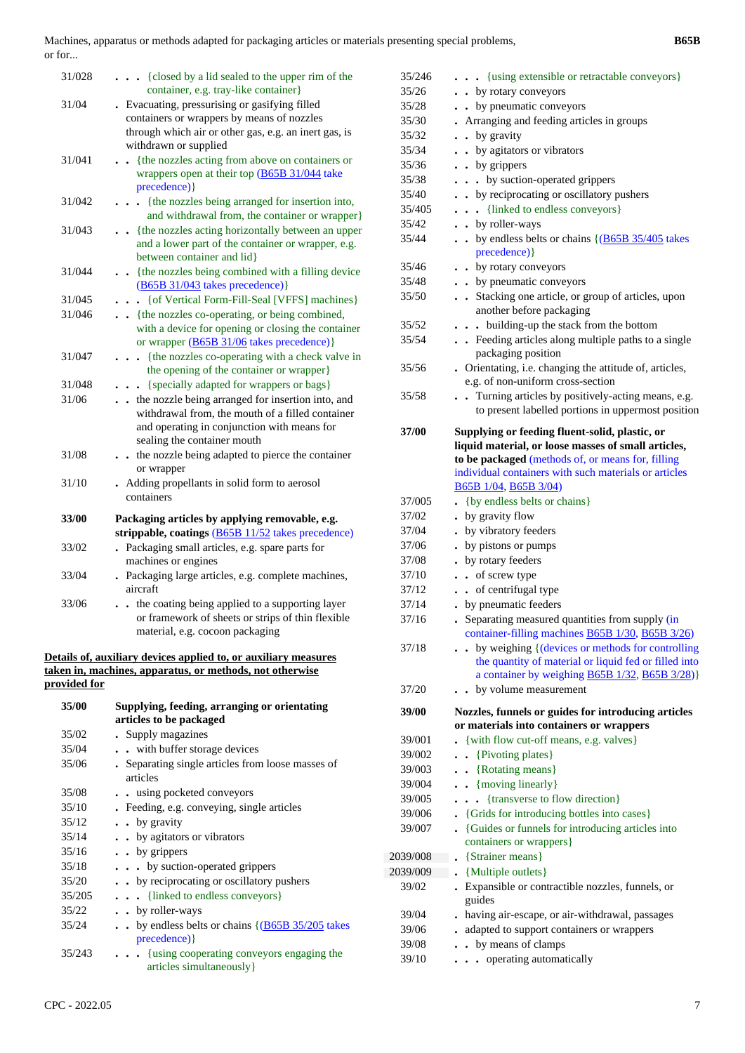Machines, apparatus or methods adapted for packaging articles or materials presenting special problems, or for...

| 31/028       | . {closed by a lid sealed to the upper rim of the<br>container, e.g. tray-like container}                                                                                               |
|--------------|-----------------------------------------------------------------------------------------------------------------------------------------------------------------------------------------|
| 31/04        | . Evacuating, pressurising or gasifying filled<br>containers or wrappers by means of nozzles<br>through which air or other gas, e.g. an inert gas, is<br>withdrawn or supplied          |
| 31/041       | {the nozzles acting from above on containers or<br>wrappers open at their top (B65B 31/044 take<br>precedence) }                                                                        |
| 31/042       | {the nozzles being arranged for insertion into,<br>.<br>and withdrawal from, the container or wrapper}                                                                                  |
| 31/043       | . {the nozzles acting horizontally between an upper<br>and a lower part of the container or wrapper, e.g.<br>between container and lid}                                                 |
| 31/044       | . {the nozzles being combined with a filling device<br>$(B65B 31/043$ takes precedence)}                                                                                                |
| 31/045       | {of Vertical Form-Fill-Seal [VFFS] machines}                                                                                                                                            |
| 31/046       | {the nozzles co-operating, or being combined,<br>with a device for opening or closing the container<br>or wrapper (B65B 31/06 takes precedence)}                                        |
| 31/047       | {the nozzles co-operating with a check valve in<br>the opening of the container or wrapper}                                                                                             |
| 31/048       | . {specially adapted for wrappers or bags}                                                                                                                                              |
| 31/06        | . . the nozzle being arranged for insertion into, and<br>withdrawal from, the mouth of a filled container<br>and operating in conjunction with means for<br>sealing the container mouth |
| 31/08        | . . the nozzle being adapted to pierce the container<br>or wrapper                                                                                                                      |
| 31/10        | . Adding propellants in solid form to aerosol<br>containers                                                                                                                             |
| 33/00        | Packaging articles by applying removable, e.g.                                                                                                                                          |
|              | strippable, coatings (B65B 11/52 takes precedence)                                                                                                                                      |
| 33/02        | Packaging small articles, e.g. spare parts for<br>machines or engines                                                                                                                   |
| 33/04        | . Packaging large articles, e.g. complete machines,<br>aircraft                                                                                                                         |
| 33/06        | . . the coating being applied to a supporting layer<br>or framework of sheets or strips of thin flexible<br>material, e.g. cocoon packaging                                             |
|              | Details of, auxiliary devices applied to, or auxiliary measures                                                                                                                         |
|              | taken in, machines, apparatus, or methods, not otherwise                                                                                                                                |
| provided for |                                                                                                                                                                                         |
|              |                                                                                                                                                                                         |

| 35/00  | Supplying, feeding, arranging or orientating       |
|--------|----------------------------------------------------|
|        | articles to be packaged                            |
| 35/02  | • Supply magazines                                 |
| 35/04  | with buffer storage devices                        |
| 35/06  | Separating single articles from loose masses of    |
|        | articles                                           |
| 35/08  | using pocketed conveyors                           |
| 35/10  | . Feeding, e.g. conveying, single articles         |
| 35/12  | $\cdot$ by gravity                                 |
| 35/14  | . . by agitators or vibrators                      |
| 35/16  | $\cdot$ by grippers                                |
| 35/18  | $\cdots$ by suction-operated grippers              |
| 35/20  | by reciprocating or oscillatory pushers            |
| 35/205 | $\ldots$ {linked to endless conveyors}             |
| 35/22  | $\bullet$ by roller-ways                           |
| 35/24  | by endless belts or chains $\{(B65B 35/205$ takes  |
|        | precedence) }                                      |
| 35/243 | $\cdots$ {using cooperating conveyors engaging the |
|        | articles simultaneously }                          |
|        |                                                    |

| 35/246         | {using extensible or retractable conveyors}                                                                                                                                |
|----------------|----------------------------------------------------------------------------------------------------------------------------------------------------------------------------|
| 35/26          | . by rotary conveyors                                                                                                                                                      |
| 35/28          | by pneumatic conveyors                                                                                                                                                     |
| 35/30          | Arranging and feeding articles in groups                                                                                                                                   |
| 35/32          | by gravity<br>$\ddot{\phantom{a}}$                                                                                                                                         |
| 35/34          | by agitators or vibrators<br>$\ddot{\phantom{0}}$                                                                                                                          |
| 35/36          | • by grippers                                                                                                                                                              |
| 35/38          | . . by suction-operated grippers                                                                                                                                           |
| 35/40          | • by reciprocating or oscillatory pushers                                                                                                                                  |
| 35/405         | {linked to endless conveyors}<br>$\ddot{\phantom{0}}$                                                                                                                      |
| 35/42          | • by roller-ways                                                                                                                                                           |
| 35/44          | by endless belts or chains $\left( \frac{\text{B65B } 35}{405} \right)$ takes<br>precedence) }                                                                             |
| 35/46          | • by rotary conveyors                                                                                                                                                      |
| 35/48          | • by pneumatic conveyors                                                                                                                                                   |
| 35/50          | Stacking one article, or group of articles, upon<br>$\bullet$                                                                                                              |
|                | another before packaging                                                                                                                                                   |
| 35/52          | . building-up the stack from the bottom<br>$\ddot{\phantom{0}}$                                                                                                            |
| 35/54          | Feeding articles along multiple paths to a single<br>packaging position                                                                                                    |
| 35/56          | Orientating, i.e. changing the attitude of, articles,                                                                                                                      |
|                | e.g. of non-uniform cross-section                                                                                                                                          |
| 35/58          | Turning articles by positively-acting means, e.g.<br>$\ddot{\phantom{a}}$<br>to present labelled portions in uppermost position                                            |
| 37/00          | Supplying or feeding fluent-solid, plastic, or                                                                                                                             |
|                | liquid material, or loose masses of small articles,                                                                                                                        |
|                | to be packaged (methods of, or means for, filling                                                                                                                          |
|                | individual containers with such materials or articles                                                                                                                      |
|                | B65B 1/04, B65B 3/04)                                                                                                                                                      |
| 37/005         | . {by endless belts or chains}                                                                                                                                             |
| 37/02          | . by gravity flow                                                                                                                                                          |
| 37/04          | . by vibratory feeders                                                                                                                                                     |
| 37/06<br>37/08 | by pistons or pumps<br>by rotary feeders                                                                                                                                   |
| 37/10          | of screw type<br>$\ddot{\phantom{a}}$                                                                                                                                      |
| 37/12          | • of centrifugal type                                                                                                                                                      |
| 37/14          | by pneumatic feeders<br>$\ddot{\phantom{0}}$                                                                                                                               |
| 37/16          | Separating measured quantities from supply (in<br>container-filling machines $B65B$ $1/30$ , $B65B$ $3/26$ )                                                               |
| 37/18          | by weighing { (devices or methods for controlling<br>the quantity of material or liquid fed or filled into<br>a container by weighing <b>B65B</b> 1/32, <b>B65B</b> 3/28)} |
| 37/20          | by volume measurement                                                                                                                                                      |
| 39/00          | Nozzles, funnels or guides for introducing articles<br>or materials into containers or wrappers                                                                            |
| 39/001         | {with flow cut-off means, e.g. valves}                                                                                                                                     |
| 39/002         | {Pivoting plates}<br>$\ddot{\phantom{a}}$                                                                                                                                  |
| 39/003         | {Rotating means}<br>$\ddot{\phantom{a}}$                                                                                                                                   |
| 39/004         | $\bullet$ {moving linearly}                                                                                                                                                |
| 39/005         | {transverse to flow direction}<br>$\ddot{\phantom{0}}$<br>$\ddot{\phantom{a}}$                                                                                             |
| 39/006         | • {Grids for introducing bottles into cases}                                                                                                                               |
| 39/007         | • {Guides or funnels for introducing articles into<br>containers or wrappers}                                                                                              |
| 2039/008       | {Strainer means}                                                                                                                                                           |
| 2039/009       | {Multiple outlets}                                                                                                                                                         |
| 39/02          | Expansible or contractible nozzles, funnels, or<br>guides                                                                                                                  |
| 39/04          | having air-escape, or air-withdrawal, passages                                                                                                                             |
| 39/06          | adapted to support containers or wrappers                                                                                                                                  |
| 39/08          | • by means of clamps                                                                                                                                                       |
| 39/10          | operating automatically<br>$\ddot{\phantom{0}}$                                                                                                                            |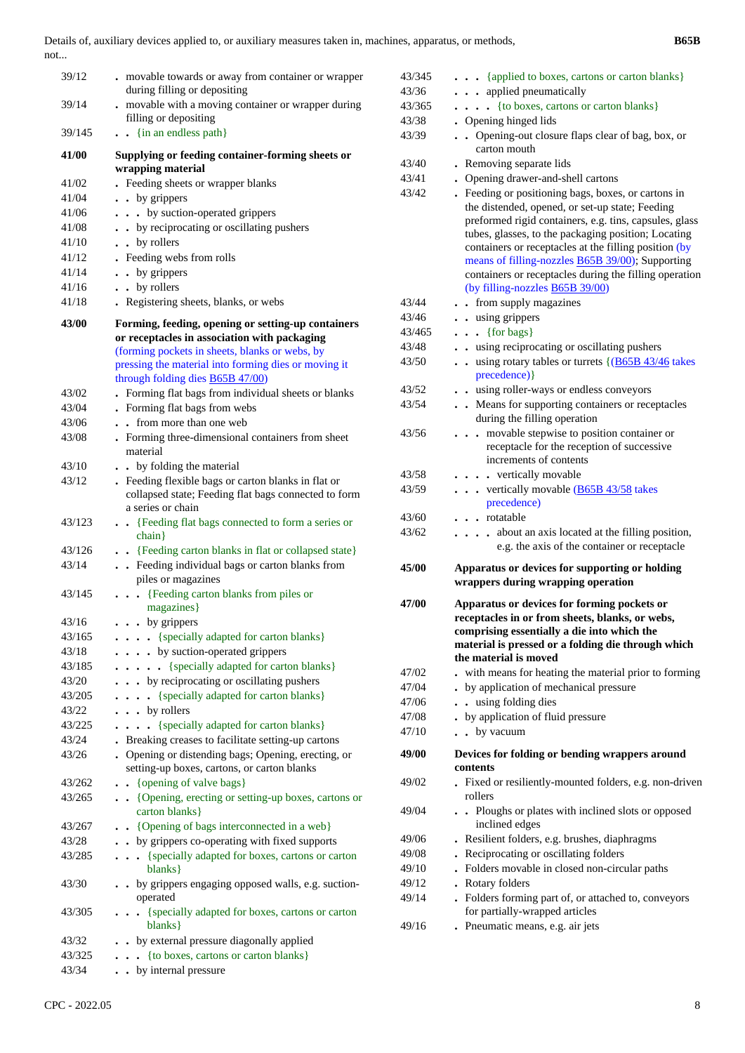| 39/12           | . movable towards or away from container or wrapper                                                | 43/345 | {applied to boxes, cartons or carton blanks}                                                 |
|-----------------|----------------------------------------------------------------------------------------------------|--------|----------------------------------------------------------------------------------------------|
|                 | during filling or depositing                                                                       | 43/36  | . applied pneumatically                                                                      |
| 39/14           | . movable with a moving container or wrapper during                                                | 43/365 | {to boxes, cartons or carton blanks}                                                         |
|                 | filling or depositing                                                                              | 43/38  | • Opening hinged lids                                                                        |
| 39/145          | . . {in an endless path}                                                                           | 43/39  | Opening-out closure flaps clear of bag, box, or<br>carton mouth                              |
| 41/00           | Supplying or feeding container-forming sheets or<br>wrapping material                              | 43/40  | . Removing separate lids                                                                     |
|                 |                                                                                                    | 43/41  | • Opening drawer-and-shell cartons                                                           |
| 41/02           | . Feeding sheets or wrapper blanks                                                                 | 43/42  | . Feeding or positioning bags, boxes, or cartons in                                          |
| 41/04           | . . by grippers                                                                                    |        | the distended, opened, or set-up state; Feeding                                              |
| 41/06           | . by suction-operated grippers                                                                     |        | preformed rigid containers, e.g. tins, capsules, glass                                       |
| 41/08           | by reciprocating or oscillating pushers                                                            |        | tubes, glasses, to the packaging position; Locating                                          |
| 41/10           | . . by rollers                                                                                     |        | containers or receptacles at the filling position (by                                        |
| 41/12           | . Feeding webs from rolls                                                                          |        | means of filling-nozzles <b>B65B 39/00</b> ); Supporting                                     |
| 41/14           | . by grippers                                                                                      |        | containers or receptacles during the filling operation                                       |
| 41/16           | . . by rollers                                                                                     |        | (by filling-nozzles <b>B65B 39/00</b> )                                                      |
| 41/18           | . Registering sheets, blanks, or webs                                                              | 43/44  | . from supply magazines                                                                      |
| 43/00           |                                                                                                    | 43/46  | . . using grippers                                                                           |
|                 | Forming, feeding, opening or setting-up containers                                                 | 43/465 | $\ldots$ {for bags}                                                                          |
|                 | or receptacles in association with packaging<br>(forming pockets in sheets, blanks or webs, by     | 43/48  | . . using reciprocating or oscillating pushers                                               |
|                 | pressing the material into forming dies or moving it                                               | 43/50  | $\cdot$ $\cdot$ using rotary tables or turrets $\{(\underline{B65B 43/46} \text{ takes} )\}$ |
|                 | through folding dies <b>B65B 47/00</b> )                                                           |        | precedence) }                                                                                |
| 43/02           |                                                                                                    | 43/52  | . . using roller-ways or endless conveyors                                                   |
|                 | . Forming flat bags from individual sheets or blanks                                               | 43/54  | Means for supporting containers or receptacles                                               |
| 43/04           | • Forming flat bags from webs                                                                      |        | during the filling operation                                                                 |
| 43/06           | . . from more than one web                                                                         | 43/56  | . movable stepwise to position container or                                                  |
| 43/08           | . Forming three-dimensional containers from sheet                                                  |        | receptacle for the reception of successive                                                   |
|                 | material                                                                                           |        | increments of contents                                                                       |
| 43/10           | . . by folding the material                                                                        | 43/58  | . vertically movable                                                                         |
| 43/12           | . Feeding flexible bags or carton blanks in flat or                                                | 43/59  | . vertically movable (B65B 43/58 takes                                                       |
|                 | collapsed state; Feeding flat bags connected to form                                               |        | precedence)                                                                                  |
|                 | a series or chain                                                                                  | 43/60  | . rotatable                                                                                  |
| 43/123          | . . {Feeding flat bags connected to form a series or                                               | 43/62  | . about an axis located at the filling position,                                             |
|                 | $chain\}$                                                                                          |        | e.g. the axis of the container or receptacle                                                 |
|                 |                                                                                                    |        |                                                                                              |
| 43/126          | . . {Feeding carton blanks in flat or collapsed state}                                             |        |                                                                                              |
| 43/14           | . . Feeding individual bags or carton blanks from                                                  | 45/00  | Apparatus or devices for supporting or holding                                               |
| 43/145          | piles or magazines                                                                                 |        | wrappers during wrapping operation                                                           |
|                 | {Feeding carton blanks from piles or                                                               | 47/00  | Apparatus or devices for forming pockets or                                                  |
|                 | magazines}                                                                                         |        | receptacles in or from sheets, blanks, or webs,                                              |
| 43/16           | $\cdot \cdot \cdot$ by grippers                                                                    |        | comprising essentially a die into which the                                                  |
| 43/165          | . {specially adapted for carton blanks}                                                            |        | material is pressed or a folding die through which                                           |
| 43/18           | . by suction-operated grippers                                                                     |        | the material is moved                                                                        |
| 43/185          | . {specially adapted for carton blanks}                                                            | 47/02  | . with means for heating the material prior to forming                                       |
| 43/20           | . by reciprocating or oscillating pushers                                                          | 47/04  | . by application of mechanical pressure                                                      |
| 43/205          | { specially adapted for carton blanks }                                                            | 47/06  | . . using folding dies                                                                       |
| 43/22           | $\ldots$ by rollers                                                                                | 47/08  | • by application of fluid pressure                                                           |
| 43/225          | . {specially adapted for carton blanks}                                                            | 47/10  | $\cdot$ by vacuum                                                                            |
| 43/24           | . Breaking creases to facilitate setting-up cartons                                                |        |                                                                                              |
| 43/26           | • Opening or distending bags; Opening, erecting, or<br>setting-up boxes, cartons, or carton blanks | 49/00  | Devices for folding or bending wrappers around<br>contents                                   |
| 43/262          | . . {opening of valve bags}                                                                        | 49/02  | Fixed or resiliently-mounted folders, e.g. non-driven                                        |
| 43/265          | • • {Opening, erecting or setting-up boxes, cartons or                                             |        | rollers                                                                                      |
|                 | carton blanks}                                                                                     | 49/04  | Ploughs or plates with inclined slots or opposed                                             |
| 43/267          | . . {Opening of bags interconnected in a web}                                                      |        | inclined edges                                                                               |
| 43/28           | by grippers co-operating with fixed supports                                                       | 49/06  | . Resilient folders, e.g. brushes, diaphragms                                                |
| 43/285          | {specially adapted for boxes, cartons or carton                                                    | 49/08  | . Reciprocating or oscillating folders                                                       |
|                 | blanks }                                                                                           | 49/10  | . Folders movable in closed non-circular paths                                               |
| 43/30           | by grippers engaging opposed walls, e.g. suction-                                                  | 49/12  | . Rotary folders                                                                             |
|                 | operated                                                                                           | 49/14  | . Folders forming part of, or attached to, conveyors                                         |
| 43/305          | {specially adapted for boxes, cartons or carton                                                    |        | for partially-wrapped articles                                                               |
|                 | blanks }                                                                                           | 49/16  | . Pneumatic means, e.g. air jets                                                             |
| 43/32           | . . by external pressure diagonally applied                                                        |        |                                                                                              |
| 43/325<br>43/34 | {to boxes, cartons or carton blanks}<br>. . by internal pressure                                   |        |                                                                                              |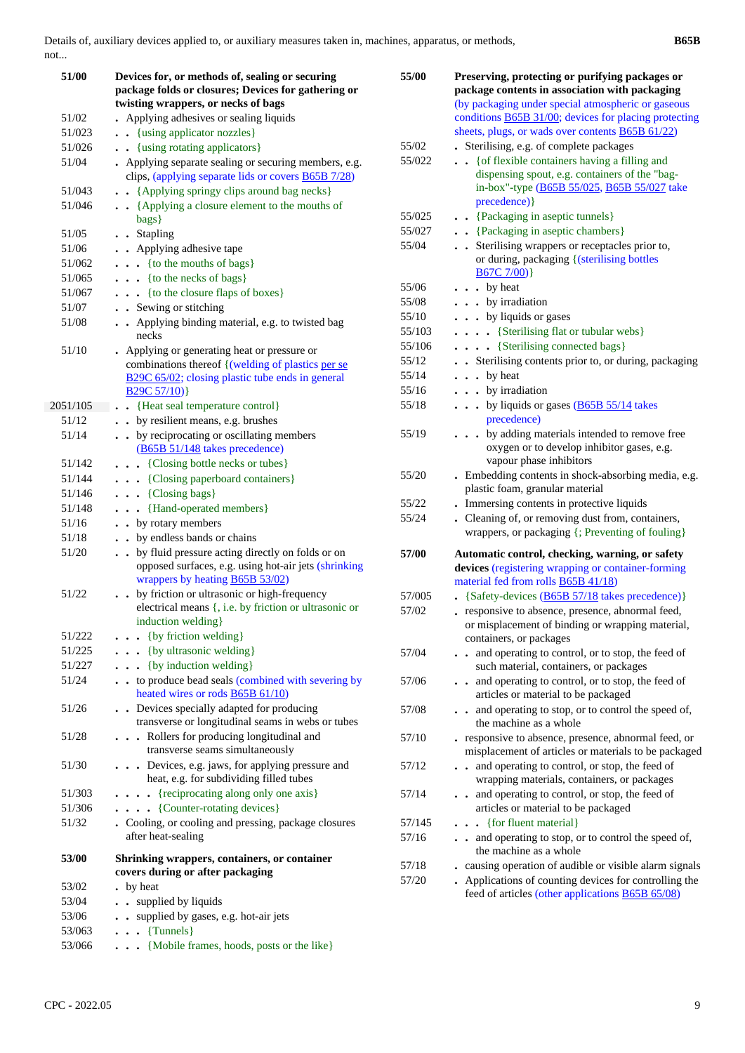| 51/00    | Devices for, or methods of, sealing or securing<br>package folds or closures; Devices for gathering or<br>twisting wrappers, or necks of bags                               |
|----------|-----------------------------------------------------------------------------------------------------------------------------------------------------------------------------|
| 51/02    | Applying adhesives or sealing liquids                                                                                                                                       |
| 51/023   | . {using applicator nozzles}                                                                                                                                                |
| 51/026   | {using rotating applicators}                                                                                                                                                |
| 51/04    | Applying separate sealing or securing members, e.g.<br>clips, (applying separate lids or covers <b>B65B</b> 7/28)                                                           |
| 51/043   | {Applying springy clips around bag necks}                                                                                                                                   |
| 51/046   | • • {Applying a closure element to the mouths of<br>bags}                                                                                                                   |
| 51/05    | . . Stapling                                                                                                                                                                |
| 51/06    | . Applying adhesive tape                                                                                                                                                    |
| 51/062   | $\cdots$ {to the mouths of bags}                                                                                                                                            |
| 51/065   | $\cdots$ {to the necks of bags}                                                                                                                                             |
| 51/067   | {to the closure flaps of boxes}                                                                                                                                             |
| 51/07    | . . Sewing or stitching                                                                                                                                                     |
| 51/08    | Applying binding material, e.g. to twisted bag<br>necks                                                                                                                     |
| 51/10    | • Applying or generating heat or pressure or<br>combinations thereof {(welding of plastics per se<br>B29C 65/02; closing plastic tube ends in general<br>B29C 57/10)}       |
| 2051/105 | • {Heat seal temperature control}                                                                                                                                           |
| 51/12    | . . by resilient means, e.g. brushes                                                                                                                                        |
| 51/14    | by reciprocating or oscillating members<br>(B65B 51/148 takes precedence)                                                                                                   |
| 51/142   | . {Closing bottle necks or tubes}                                                                                                                                           |
| 51/144   | . {Closing paperboard containers}                                                                                                                                           |
| 51/146   | $\cdots$ {Closing bags}                                                                                                                                                     |
| 51/148   | . . {Hand-operated members}                                                                                                                                                 |
| 51/16    | . . by rotary members                                                                                                                                                       |
| 51/18    | . . by endless bands or chains                                                                                                                                              |
| 51/20    | by fluid pressure acting directly on folds or on<br>$\ddot{\phantom{0}}$<br>opposed surfaces, e.g. using hot-air jets (shrinking<br>wrappers by heating <b>B65B 53/02</b> ) |
| 51/22    | by friction or ultrasonic or high-frequency<br>electrical means {, i.e. by friction or ultrasonic or<br>induction welding}                                                  |
| 51/222   | $\bullet$ {by friction welding}                                                                                                                                             |
| 51/225   | $\cdots$ {by ultrasonic welding}                                                                                                                                            |
| 51/227   | {by induction welding}<br>$\cdot$ $\cdot$ $\cdot$                                                                                                                           |
| 51/24    | . . to produce bead seals (combined with severing by<br>heated wires or rods B65B 61/10)                                                                                    |
| 51/26    | Devices specially adapted for producing<br>transverse or longitudinal seams in webs or tubes                                                                                |
| 51/28    | . Rollers for producing longitudinal and<br>transverse seams simultaneously                                                                                                 |
| 51/30    | . Devices, e.g. jaws, for applying pressure and<br>heat, e.g. for subdividing filled tubes                                                                                  |
| 51/303   | $\cdots$ {reciprocating along only one axis}                                                                                                                                |
| 51/306   | $\cdots$ (Counter-rotating devices)                                                                                                                                         |
| 51/32    | . Cooling, or cooling and pressing, package closures<br>after heat-sealing                                                                                                  |
| 53/00    | Shrinking wrappers, containers, or container<br>covers during or after packaging                                                                                            |
| 53/02    | by heat                                                                                                                                                                     |
| 53/04    | supplied by liquids<br>$\ddot{\phantom{0}}$                                                                                                                                 |
| 53/06    | supplied by gases, e.g. hot-air jets<br>$\ddotsc$                                                                                                                           |
| 53/063   | {Tunnels}<br>$\ddot{\phantom{0}}$                                                                                                                                           |
| 53/066   | {Mobile frames, hoods, posts or the like}<br>$\ddotsc$                                                                                                                      |

| 55/00  | Preserving, protecting or purifying packages or                        |
|--------|------------------------------------------------------------------------|
|        | package contents in association with packaging                         |
|        | (by packaging under special atmospheric or gaseous                     |
|        | conditions <b>B65B 31/00</b> ; devices for placing protecting          |
|        | sheets, plugs, or wads over contents <b>B65B 61/22</b> )               |
| 55/02  | Sterilising, e.g. of complete packages                                 |
| 55/022 | {of flexible containers having a filling and<br>$\ddot{\phantom{a}}$   |
|        | dispensing spout, e.g. containers of the "bag-                         |
|        | in-box"-type (B65B 55/025, B65B 55/027 take                            |
|        | precedence) }                                                          |
| 55/025 | • {Packaging in aseptic tunnels}                                       |
| 55/027 | • {Packaging in aseptic chambers}                                      |
| 55/04  | • Sterilising wrappers or receptacles prior to,                        |
|        | or during, packaging {(sterilising bottles                             |
|        | B67C7/00                                                               |
| 55/06  | $\cdot$ by heat                                                        |
| 55/08  | . by irradiation                                                       |
| 55/10  | . . by liquids or gases                                                |
| 55/103 | {Sterilising flat or tubular webs}                                     |
| 55/106 | {Sterilising connected bags}                                           |
| 55/12  | Sterilising contents prior to, or during, packaging                    |
| 55/14  | . by heat                                                              |
| 55/16  | . by irradiation                                                       |
| 55/18  | . by liquids or gases (B65B 55/14 takes                                |
|        | precedence)                                                            |
| 55/19  | by adding materials intended to remove free<br>$\ddot{\phantom{0}}$    |
|        | oxygen or to develop inhibitor gases, e.g.                             |
|        | vapour phase inhibitors                                                |
| 55/20  | . Embedding contents in shock-absorbing media, e.g.                    |
|        | plastic foam, granular material                                        |
| 55/22  | . Immersing contents in protective liquids                             |
| 55/24  | . Cleaning of, or removing dust from, containers,                      |
|        | wrappers, or packaging {; Preventing of fouling}                       |
|        |                                                                        |
| 57/00  | Automatic control, checking, warning, or safety                        |
|        | devices (registering wrapping or container-forming                     |
|        | material fed from rolls B65B 41/18)                                    |
| 57/005 | {Safety-devices (B65B 57/18 takes precedence)}                         |
| 57/02  | responsive to absence, presence, abnormal feed,                        |
|        | or misplacement of binding or wrapping material,                       |
|        | containers, or packages                                                |
| 57/04  | and operating to control, or to stop, the feed of                      |
|        | such material, containers, or packages                                 |
| 57/06  | and operating to control, or to stop, the feed of<br>$\bullet$         |
|        | articles or material to be packaged                                    |
| 57/08  | and operating to stop, or to control the speed of,                     |
|        | the machine as a whole                                                 |
| 57/10  | responsive to absence, presence, abnormal feed, or                     |
|        | misplacement of articles or materials to be packaged                   |
| 57/12  | and operating to control, or stop, the feed of                         |
|        | wrapping materials, containers, or packages                            |
| 57/14  | and operating to control, or stop, the feed of<br>$\ddot{\phantom{0}}$ |
|        | articles or material to be packaged                                    |
| 57/145 | {for fluent material}                                                  |
| 57/16  | and operating to stop, or to control the speed of,                     |
|        | the machine as a whole                                                 |
| 57/18  | causing operation of audible or visible alarm signals                  |
| 57/20  | Applications of counting devices for controlling the                   |
|        | feed of articles (other applications <b>B65B 65/08</b> )               |
|        |                                                                        |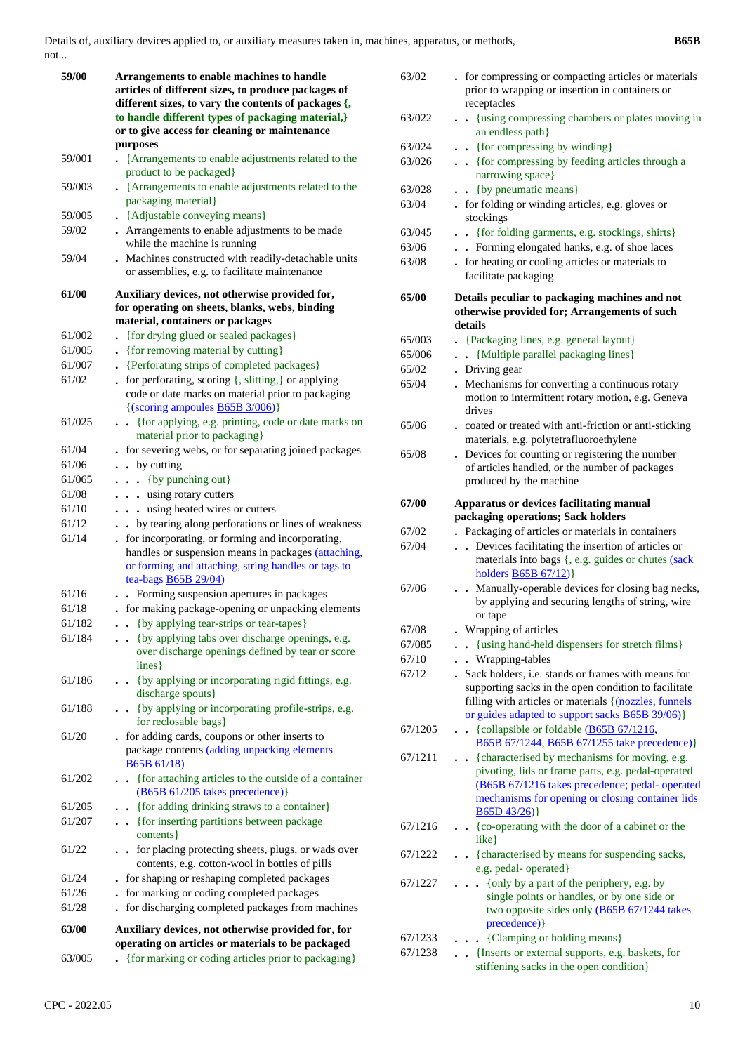| 59/00  | Arrangements to enable machines to handle<br>articles of different sizes, to produce packages of<br>different sizes, to vary the contents of packages {,<br>to handle different types of packaging material,}<br>or to give access for cleaning or maintenance<br>purposes |
|--------|----------------------------------------------------------------------------------------------------------------------------------------------------------------------------------------------------------------------------------------------------------------------------|
| 59/001 | {Arrangements to enable adjustments related to the<br>product to be packaged}                                                                                                                                                                                              |
| 59/003 | • {Arrangements to enable adjustments related to the<br>packaging material}                                                                                                                                                                                                |
| 59/005 | • {Adjustable conveying means}                                                                                                                                                                                                                                             |
| 59/02  | Arrangements to enable adjustments to be made<br>while the machine is running                                                                                                                                                                                              |
| 59/04  | . Machines constructed with readily-detachable units<br>or assemblies, e.g. to facilitate maintenance                                                                                                                                                                      |
| 61/00  | Auxiliary devices, not otherwise provided for,                                                                                                                                                                                                                             |
|        | for operating on sheets, blanks, webs, binding<br>material, containers or packages                                                                                                                                                                                         |
|        |                                                                                                                                                                                                                                                                            |
| 61/002 | {for drying glued or sealed packages}                                                                                                                                                                                                                                      |
| 61/005 | {for removing material by cutting}<br>$\bullet$                                                                                                                                                                                                                            |
| 61/007 | {Perforating strips of completed packages}                                                                                                                                                                                                                                 |
| 61/02  | for perforating, scoring {, slitting,} or applying<br>code or date marks on material prior to packaging<br>$\{(scoring\ ampoules \underline{B65B} \frac{3}{006})\}$                                                                                                        |
| 61/025 | {for applying, e.g. printing, code or date marks on                                                                                                                                                                                                                        |
|        | material prior to packaging}                                                                                                                                                                                                                                               |
| 61/04  | for severing webs, or for separating joined packages                                                                                                                                                                                                                       |
| 61/06  | • by cutting                                                                                                                                                                                                                                                               |
| 61/065 | $\bullet$ $\bullet$ {by punching out}                                                                                                                                                                                                                                      |
| 61/08  | . using rotary cutters                                                                                                                                                                                                                                                     |
| 61/10  | . using heated wires or cutters                                                                                                                                                                                                                                            |
| 61/12  | by tearing along perforations or lines of weakness                                                                                                                                                                                                                         |
| 61/14  | . for incorporating, or forming and incorporating,<br>handles or suspension means in packages (attaching,<br>or forming and attaching, string handles or tags to<br>tea-bags <b>B65B</b> 29/04)                                                                            |
| 61/16  | . Forming suspension apertures in packages                                                                                                                                                                                                                                 |
| 61/18  | . for making package-opening or unpacking elements                                                                                                                                                                                                                         |
| 61/182 | {by applying tear-strips or tear-tapes}                                                                                                                                                                                                                                    |
| 61/184 | {by applying tabs over discharge openings, e.g.<br>over discharge openings defined by tear or score<br>lines}                                                                                                                                                              |
| 61/186 | • {by applying or incorporating rigid fittings, e.g.<br>discharge spouts}                                                                                                                                                                                                  |
| 61/188 | • {by applying or incorporating profile-strips, e.g.<br>for reclosable bags}                                                                                                                                                                                               |
| 61/20  | for adding cards, coupons or other inserts to<br>package contents (adding unpacking elements<br><b>B65B 61/18</b> )                                                                                                                                                        |
| 61/202 | • {for attaching articles to the outside of a container<br>(B65B 61/205 takes precedence)}                                                                                                                                                                                 |
| 61/205 | {for adding drinking straws to a container}                                                                                                                                                                                                                                |
| 61/207 | {for inserting partitions between package<br>$\ddot{\phantom{0}}$<br>contents }                                                                                                                                                                                            |
| 61/22  | for placing protecting sheets, plugs, or wads over<br>contents, e.g. cotton-wool in bottles of pills                                                                                                                                                                       |
| 61/24  | for shaping or reshaping completed packages                                                                                                                                                                                                                                |
| 61/26  | for marking or coding completed packages                                                                                                                                                                                                                                   |
| 61/28  | for discharging completed packages from machines                                                                                                                                                                                                                           |
| 63/00  | Auxiliary devices, not otherwise provided for, for<br>operating on articles or materials to be packaged                                                                                                                                                                    |
| 63/005 | {for marking or coding articles prior to packaging}                                                                                                                                                                                                                        |

| 63/02   | - for compressing or compacting articles or materials<br>prior to wrapping or insertion in containers or<br>receptacles                                                                                                        |
|---------|--------------------------------------------------------------------------------------------------------------------------------------------------------------------------------------------------------------------------------|
| 63/022  | {using compressing chambers or plates moving in<br>$\ddot{\phantom{a}}$<br>an endless path}                                                                                                                                    |
| 63/024  | . {for compressing by winding}                                                                                                                                                                                                 |
| 63/026  | {for compressing by feeding articles through a<br>narrowing space}                                                                                                                                                             |
| 63/028  | {by pneumatic means}                                                                                                                                                                                                           |
| 63/04   | for folding or winding articles, e.g. gloves or<br>stockings                                                                                                                                                                   |
| 63/045  | . {for folding garments, e.g. stockings, shirts}                                                                                                                                                                               |
| 63/06   | • Forming elongated hanks, e.g. of shoe laces                                                                                                                                                                                  |
| 63/08   | . for heating or cooling articles or materials to                                                                                                                                                                              |
|         | facilitate packaging                                                                                                                                                                                                           |
| 65/00   | Details peculiar to packaging machines and not<br>otherwise provided for; Arrangements of such<br>details                                                                                                                      |
| 65/003  | {Packaging lines, e.g. general layout}                                                                                                                                                                                         |
| 65/006  | {Multiple parallel packaging lines}                                                                                                                                                                                            |
| 65/02   | . Driving gear                                                                                                                                                                                                                 |
| 65/04   | . Mechanisms for converting a continuous rotary                                                                                                                                                                                |
|         | motion to intermittent rotary motion, e.g. Geneva<br>drives                                                                                                                                                                    |
| 65/06   | . coated or treated with anti-friction or anti-sticking<br>materials, e.g. polytetrafluoroethylene                                                                                                                             |
| 65/08   | . Devices for counting or registering the number                                                                                                                                                                               |
|         | of articles handled, or the number of packages                                                                                                                                                                                 |
|         | produced by the machine                                                                                                                                                                                                        |
| 67/00   | Apparatus or devices facilitating manual<br>packaging operations; Sack holders                                                                                                                                                 |
|         |                                                                                                                                                                                                                                |
| 67/02   | . Packaging of articles or materials in containers                                                                                                                                                                             |
| 67/04   | Devices facilitating the insertion of articles or<br>$\ddotsc$<br>materials into bags {, e.g. guides or chutes (sack<br>holders $\overline{B65B 67/12})$                                                                       |
| 67/06   | . Manually-operable devices for closing bag necks,<br>by applying and securing lengths of string, wire                                                                                                                         |
|         | or tape                                                                                                                                                                                                                        |
| 67/08   | Wrapping of articles                                                                                                                                                                                                           |
| 67/085  | {using hand-held dispensers for stretch films}                                                                                                                                                                                 |
| 67/10   | . Wrapping-tables                                                                                                                                                                                                              |
| 67/12   | Sack holders, i.e. stands or frames with means for<br>supporting sacks in the open condition to facilitate<br>filling with articles or materials {(nozzles, funnels<br>or guides adapted to support sacks <b>B65B 39/06</b> )} |
| 67/1205 | • {collapsible or foldable (B65B 67/1216,<br>B65B 67/1244, B65B 67/1255 take precedence)}                                                                                                                                      |
| 67/1211 | • {characterised by mechanisms for moving, e.g.                                                                                                                                                                                |
|         | pivoting, lids or frame parts, e.g. pedal-operated<br>(B65B 67/1216 takes precedence; pedal- operated<br>mechanisms for opening or closing container lids<br>B65D43/26)                                                        |
| 67/1216 | • {co-operating with the door of a cabinet or the<br>$like$ }                                                                                                                                                                  |
| 67/1222 | • {characterised by means for suspending sacks,                                                                                                                                                                                |
| 67/1227 | e.g. pedal- operated}<br>{only by a part of the periphery, e.g. by<br>$\overline{a}$<br>single points or handles, or by one side or<br>two opposite sides only (B65B 67/1244 takes<br>precedence) }                            |
| 67/1233 | . . {Clamping or holding means}                                                                                                                                                                                                |
| 67/1238 | . . {Inserts or external supports, e.g. baskets, for                                                                                                                                                                           |